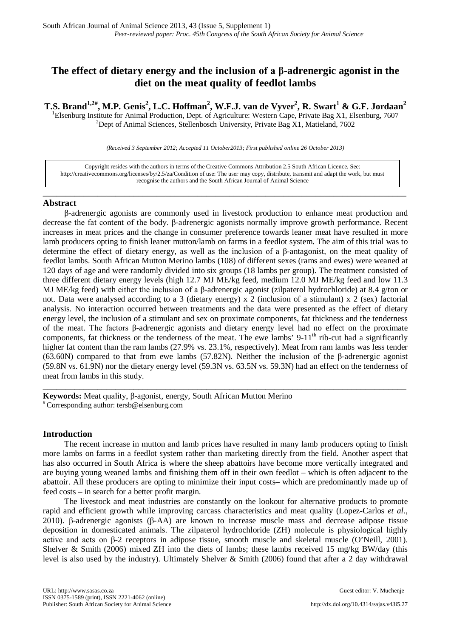# **The effect of dietary energy and the inclusion of a β-adrenergic agonist in the diet on the meat quality of feedlot lambs**

**T.S. Brand1,2# , M.P. Genis2 , L.C. Hoffman<sup>2</sup> , W.F.J. van de Vyver2 , R. Swart<sup>1</sup> & G.F. Jordaan<sup>2</sup>**

<sup>1</sup>Elsenburg Institute for Animal Production, Dept. of Agriculture: Western Cape, Private Bag X1, Elsenburg, 7607 <sup>2</sup>Dept of Animal Sciences, Stellenbosch University, Private Bag X1, Matieland, 7602

*(Received 3 September 2012; Accepted 11 October2013; First published online 26 October 2013)*

Copyright resides with the authors in terms of the Creative Commons Attribution 2.5 South African Licence. See: [http://creativecommons.org/licenses/by/2.5/za/C](http://creativecommons.org/licenses/by/2.5/za/)ondition of use: The user may copy, distribute, transmit and adapt the work, but must recognise the authors and the South African Journal of Animal Science

\_\_\_\_\_\_\_\_\_\_\_\_\_\_\_\_\_\_\_\_\_\_\_\_\_\_\_\_\_\_\_\_\_\_\_\_\_\_\_\_\_\_\_\_\_\_\_\_\_\_\_\_\_\_\_\_\_\_\_\_\_\_\_\_\_\_\_\_\_\_\_\_\_\_\_\_\_\_\_\_

# **Abstract**

β-adrenergic agonists are commonly used in livestock production to enhance meat production and decrease the fat content of the body. β-adrenergic agonists normally improve growth performance. Recent increases in meat prices and the change in consumer preference towards leaner meat have resulted in more lamb producers opting to finish leaner mutton/lamb on farms in a feedlot system. The aim of this trial was to determine the effect of dietary energy, as well as the inclusion of a β-antagonist, on the meat quality of feedlot lambs. South African Mutton Merino lambs (108) of different sexes (rams and ewes) were weaned at 120 days of age and were randomly divided into six groups (18 lambs per group). The treatment consisted of three different dietary energy levels (high 12.7 MJ ME/kg feed, medium 12.0 MJ ME/kg feed and low 11.3 MJ ME/kg feed) with either the inclusion of a β-adrenergic agonist (zilpaterol hydrochloride) at 8.4 g/ton or not. Data were analysed according to a 3 (dietary energy) x 2 (inclusion of a stimulant) x 2 (sex) factorial analysis. No interaction occurred between treatments and the data were presented as the effect of dietary energy level, the inclusion of a stimulant and sex on proximate components, fat thickness and the tenderness of the meat. The factors β-adrenergic agonists and dietary energy level had no effect on the proximate components, fat thickness or the tenderness of the meat. The ewe lambs' 9-11<sup>th</sup> rib-cut had a significantly higher fat content than the ram lambs (27.9% vs. 23.1%, respectively). Meat from ram lambs was less tender (63.60N) compared to that from ewe lambs (57.82N). Neither the inclusion of the β-adrenergic agonist (59.8N vs. 61.9N) nor the dietary energy level (59.3N vs. 63.5N vs. 59.3N) had an effect on the tenderness of meat from lambs in this study.

**Keywords:** Meat quality, β-agonist, energy, South African Mutton Merino # Corresponding author: [tersb@elsenburg.com](mailto:tersb@elsenburg.com)

# **Introduction**

The recent increase in mutton and lamb prices have resulted in many lamb producers opting to finish more lambs on farms in a feedlot system rather than marketing directly from the field. Another aspect that has also occurred in South Africa is where the sheep abattoirs have become more vertically integrated and are buying young weaned lambs and finishing them off in their own feedlot – which is often adjacent to the abattoir. All these producers are opting to minimize their input costs– which are predominantly made up of feed costs – in search for a better profit margin.

\_\_\_\_\_\_\_\_\_\_\_\_\_\_\_\_\_\_\_\_\_\_\_\_\_\_\_\_\_\_\_\_\_\_\_\_\_\_\_\_\_\_\_\_\_\_\_\_\_\_\_\_\_\_\_\_\_\_\_\_\_\_\_\_\_\_\_\_\_\_\_\_\_\_\_\_\_\_\_\_

The livestock and meat industries are constantly on the lookout for alternative products to promote rapid and efficient growth while improving carcass characteristics and meat quality (Lopez-Carlos *et al*., 2010). β-adrenergic agonists (β-AA) are known to increase muscle mass and decrease adipose tissue deposition in domesticated animals. The zilpaterol hydrochloride (ZH) molecule is physiological highly active and acts on β-2 receptors in adipose tissue, smooth muscle and skeletal muscle (O'Neill, 2001). Shelver & Smith (2006) mixed ZH into the diets of lambs; these lambs received 15 mg/kg BW/day (this level is also used by the industry). Ultimately Shelver & Smith (2006) found that after a 2 day withdrawal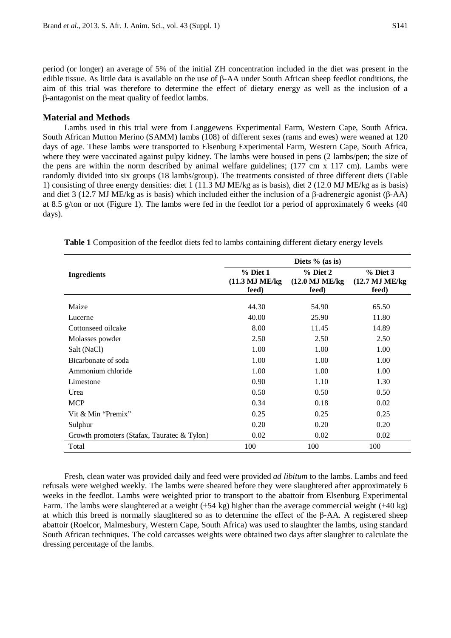period (or longer) an average of 5% of the initial ZH concentration included in the diet was present in the edible tissue. As little data is available on the use of β-AA under South African sheep feedlot conditions, the aim of this trial was therefore to determine the effect of dietary energy as well as the inclusion of a β-antagonist on the meat quality of feedlot lambs.

## **Material and Methods**

Lambs used in this trial were from Langgewens Experimental Farm, Western Cape, South Africa. South African Mutton Merino (SAMM) lambs (108) of different sexes (rams and ewes) were weaned at 120 days of age. These lambs were transported to Elsenburg Experimental Farm, Western Cape, South Africa, where they were vaccinated against pulpy kidney. The lambs were housed in pens (2 lambs/pen; the size of the pens are within the norm described by animal welfare guidelines; (177 cm x 117 cm). Lambs were randomly divided into six groups (18 lambs/group). The treatments consisted of three different diets (Table 1) consisting of three energy densities: diet 1 (11.3 MJ ME/kg as is basis), diet 2 (12.0 MJ ME/kg as is basis) and diet 3 (12.7 MJ ME/kg as is basis) which included either the inclusion of a β-adrenergic agonist (β-AA) at 8.5 g/ton or not (Figure 1). The lambs were fed in the feedlot for a period of approximately 6 weeks (40 days).

|                                             | Diets $%$ (as is)                      |                                        |                                        |  |
|---------------------------------------------|----------------------------------------|----------------------------------------|----------------------------------------|--|
| <b>Ingredients</b>                          | $%$ Diet 1<br>(11.3 MJ ME/kg)<br>feed) | $%$ Diet 2<br>(12.0 MJ ME/kg)<br>feed) | $%$ Diet 3<br>(12.7 MJ ME/kg)<br>feed) |  |
| Maize                                       | 44.30                                  | 54.90                                  | 65.50                                  |  |
| Lucerne                                     | 40.00                                  | 25.90                                  | 11.80                                  |  |
| Cottonseed oilcake                          | 8.00                                   | 11.45                                  | 14.89                                  |  |
| Molasses powder                             | 2.50                                   | 2.50                                   | 2.50                                   |  |
| Salt (NaCl)                                 | 1.00                                   | 1.00                                   | 1.00                                   |  |
| Bicarbonate of soda                         | 1.00                                   | 1.00                                   | 1.00                                   |  |
| Ammonium chloride                           | 1.00                                   | 1.00                                   | 1.00                                   |  |
| Limestone                                   | 0.90                                   | 1.10                                   | 1.30                                   |  |
| Urea                                        | 0.50                                   | 0.50                                   | 0.50                                   |  |
| <b>MCP</b>                                  | 0.34                                   | 0.18                                   | 0.02                                   |  |
| Vit & Min "Premix"                          | 0.25                                   | 0.25                                   | 0.25                                   |  |
| Sulphur                                     | 0.20                                   | 0.20                                   | 0.20                                   |  |
| Growth promoters (Stafax, Tauratec & Tylon) | 0.02                                   | 0.02                                   | 0.02                                   |  |
| Total                                       | 100                                    | 100                                    | 100                                    |  |

**Table 1** Composition of the feedlot diets fed to lambs containing different dietary energy levels

Fresh, clean water was provided daily and feed were provided *ad libitum* to the lambs. Lambs and feed refusals were weighed weekly. The lambs were sheared before they were slaughtered after approximately 6 weeks in the feedlot. Lambs were weighted prior to transport to the abattoir from Elsenburg Experimental Farm. The lambs were slaughtered at a weight ( $\pm 54$  kg) higher than the average commercial weight ( $\pm 40$  kg) at which this breed is normally slaughtered so as to determine the effect of the β-AA. A registered sheep abattoir (Roelcor, Malmesbury, Western Cape, South Africa) was used to slaughter the lambs, using standard South African techniques. The cold carcasses weights were obtained two days after slaughter to calculate the dressing percentage of the lambs.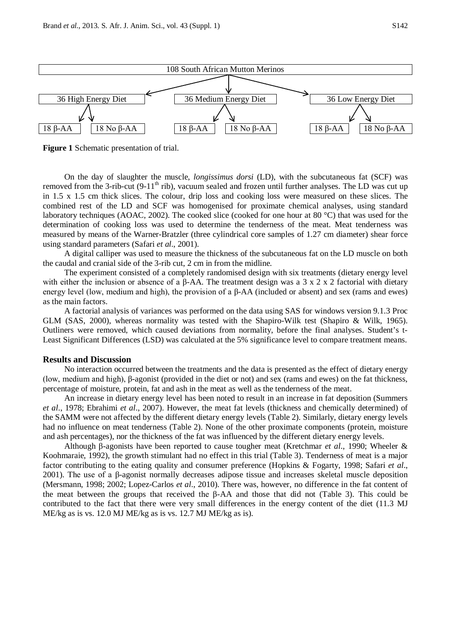



**Figure 1** Schematic presentation of trial.

On the day of slaughter the muscle, *longissimus dorsi* (LD), with the subcutaneous fat (SCF) was removed from the 3-rib-cut  $(9-11<sup>th</sup>$  rib), vacuum sealed and frozen until further analyses. The LD was cut up in 1.5 x 1.5 cm thick slices. The colour, drip loss and cooking loss were measured on these slices. The combined rest of the LD and SCF was homogenised for proximate chemical analyses, using standard laboratory techniques (AOAC, 2002). The cooked slice (cooked for one hour at 80 °C) that was used for the determination of cooking loss was used to determine the tenderness of the meat. Meat tenderness was measured by means of the Warner-Bratzler (three cylindrical core samples of 1.27 cm diameter) shear force using standard parameters (Safari *et al*., 2001).

A digital calliper was used to measure the thickness of the subcutaneous fat on the LD muscle on both the caudal and cranial side of the 3-rib cut, 2 cm in from the midline.

The experiment consisted of a completely randomised design with six treatments (dietary energy level with either the inclusion or absence of a β-AA. The treatment design was a 3 x 2 x 2 factorial with dietary energy level (low, medium and high), the provision of a  $\beta$ -AA (included or absent) and sex (rams and ewes) as the main factors.

A factorial analysis of variances was performed on the data using SAS for windows version 9.1.3 Proc GLM (SAS, 2000), whereas normality was tested with the Shapiro-Wilk test (Shapiro & Wilk, 1965). Outliners were removed, which caused deviations from normality, before the final analyses. Student's t-Least Significant Differences (LSD) was calculated at the 5% significance level to compare treatment means.

#### **Results and Discussion**

No interaction occurred between the treatments and the data is presented as the effect of dietary energy (low, medium and high), β-agonist (provided in the diet or not) and sex (rams and ewes) on the fat thickness, percentage of moisture, protein, fat and ash in the meat as well as the tenderness of the meat.

An increase in dietary energy level has been noted to result in an increase in fat deposition (Summers *et al*., 1978; Ebrahimi *et al*., 2007). However, the meat fat levels (thickness and chemically determined) of the SAMM were not affected by the different dietary energy levels (Table 2). Similarly, dietary energy levels had no influence on meat tenderness (Table 2). None of the other proximate components (protein, moisture and ash percentages), nor the thickness of the fat was influenced by the different dietary energy levels.

Although β-agonists have been reported to cause tougher meat (Kretchmar *et al*., 1990; Wheeler & Koohmaraie, 1992), the growth stimulant had no effect in this trial (Table 3). Tenderness of meat is a major factor contributing to the eating quality and consumer preference (Hopkins & Fogarty, 1998; Safari *et al*., 2001). The use of a β-agonist normally decreases adipose tissue and increases skeletal muscle deposition (Mersmann, 1998; 2002; Lopez-Carlos *et al*., 2010). There was, however, no difference in the fat content of the meat between the groups that received the β-AA and those that did not (Table 3). This could be contributed to the fact that there were very small differences in the energy content of the diet (11.3 MJ ME/kg as is vs. 12.0 MJ ME/kg as is vs. 12.7 MJ ME/kg as is).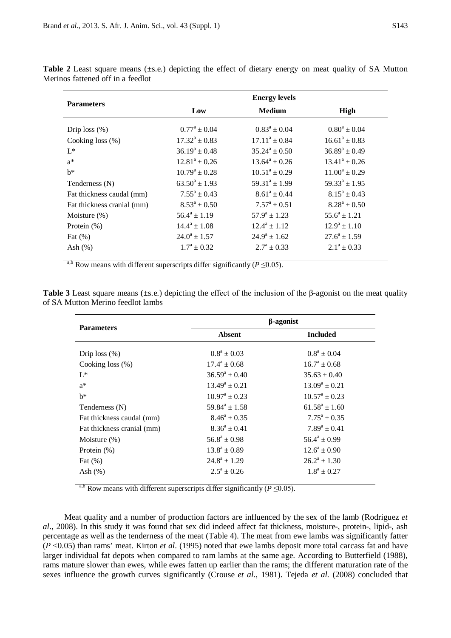| <b>Parameters</b>          | <b>Energy levels</b>    |                         |                    |
|----------------------------|-------------------------|-------------------------|--------------------|
|                            | Low                     | <b>Medium</b>           | High               |
| Drip loss $(\%)$           | $0.77^{\rm a} \pm 0.04$ | $0.83^a \pm 0.04$       | $0.80^a \pm 0.04$  |
| Cooking loss $(\%)$        | $17.32^a \pm 0.83$      | $17.11^a \pm 0.84$      | $16.61^a \pm 0.83$ |
| $L^*$                      | $36.19^a \pm 0.48$      | $35.24^a \pm 0.50$      | $36.89^a \pm 0.49$ |
| $a^*$                      | $12.81^a \pm 0.26$      | $13.64^a \pm 0.26$      | $13.41^a \pm 0.26$ |
| $h^*$                      | $10.79^a \pm 0.28$      | $10.51^a \pm 0.29$      | $11.00^a \pm 0.29$ |
| Tenderness (N)             | $63.50^a \pm 1.93$      | $59.31^a \pm 1.99$      | $59.33^a \pm 1.95$ |
| Fat thickness caudal (mm)  | $7.55^a \pm 0.43$       | $8.61^a \pm 0.44$       | $8.15^a \pm 0.43$  |
| Fat thickness cranial (mm) | $8.53^a \pm 0.50$       | $7.57^{\rm a} \pm 0.51$ | $8.28^a \pm 0.50$  |
| Moisture $(\%)$            | $56.4^a \pm 1.19$       | $57.9^a \pm 1.23$       | $55.6^a \pm 1.21$  |
| Protein $(\%)$             | $14.4^a \pm 1.08$       | $12.4^a \pm 1.12$       | $12.9^a \pm 1.10$  |
| Fat $(\%)$                 | $24.0^a \pm 1.57$       | $24.9^a \pm 1.62$       | $27.6^a \pm 1.59$  |
| Ash $(\%)$                 | $1.7^{\rm a} \pm 0.32$  | $2.7^{\rm a} \pm 0.33$  | $2.1^a \pm 0.33$   |

Table 2 Least square means (±s.e.) depicting the effect of dietary energy on meat quality of SA Mutton Merinos fattened off in a feedlot

<sup>a,b</sup> Row means with different superscripts differ significantly ( $P \le 0.05$ ).

|                                   |  | <b>Table 3</b> Least square means ( $\pm$ s.e.) depicting the effect of the inclusion of the $\beta$ -agonist on the meat quality |  |
|-----------------------------------|--|-----------------------------------------------------------------------------------------------------------------------------------|--|
| of SA Mutton Merino feedlot lambs |  |                                                                                                                                   |  |

| <b>Parameters</b>          | $\beta$ -agonist         |                        |  |
|----------------------------|--------------------------|------------------------|--|
|                            | <b>Absent</b>            | <b>Included</b>        |  |
| Drip loss $(\%)$           | $0.8^a \pm 0.03$         | $0.8^a \pm 0.04$       |  |
| Cooking loss $(\%)$        | $17.4^a \pm 0.68$        | $16.7^a \pm 0.68$      |  |
| $I^*$                      | $36.59^a \pm 0.40$       | $35.63 \pm 0.40$       |  |
| $a^*$                      | $13.49^a \pm 0.21$       | $13.09^a \pm 0.21$     |  |
| $h^*$                      | $10.97^{\rm a} \pm 0.23$ | $10.57^{\rm a}$ ± 0.23 |  |
| Tenderness (N)             | $59.84^{\circ} \pm 1.58$ | $61.58^a \pm 1.60$     |  |
| Fat thickness caudal (mm)  | $8.46^a \pm 0.35$        | $7.75^a \pm 0.35$      |  |
| Fat thickness cranial (mm) | $8.36^a \pm 0.41$        | $7.89^a \pm 0.41$      |  |
| Moisture $(\%)$            | $56.8^a \pm 0.98$        | $56.4^a \pm 0.99$      |  |
| Protein $(\%)$             | $13.8^a \pm 0.89$        | $12.6^a \pm 0.90$      |  |
| Fat $(\%)$                 | $24.8^a \pm 1.29$        | $26.2^a \pm 1.30$      |  |
| Ash $(\%)$                 | $2.5^a \pm 0.26$         | $1.8^a \pm 0.27$       |  |

<sup>a,b</sup> Row means with different superscripts differ significantly ( $P \le 0.05$ ).

Meat quality and a number of production factors are influenced by the sex of the lamb (Rodriguez *et al*., 2008). In this study it was found that sex did indeed affect fat thickness, moisture-, protein-, lipid-, ash percentage as well as the tenderness of the meat (Table 4). The meat from ewe lambs was significantly fatter  $\overline{(P<0.05)}$  than rams' meat. Kirton *et al.* (1995) noted that ewe lambs deposit more total carcass fat and have larger individual fat depots when compared to ram lambs at the same age. According to Butterfield (1988), rams mature slower than ewes, while ewes fatten up earlier than the rams; the different maturation rate of the sexes influence the growth curves significantly (Crouse *et al*., 1981). Tejeda *et al.* (2008) concluded that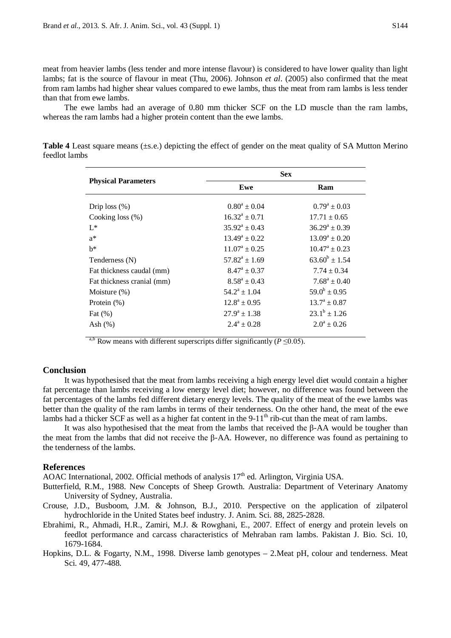meat from heavier lambs (less tender and more intense flavour) is considered to have lower quality than light lambs; fat is the source of flavour in meat (Thu, 2006). Johnson *et al*. (2005) also confirmed that the meat from ram lambs had higher shear values compared to ewe lambs, thus the meat from ram lambs is less tender than that from ewe lambs.

The ewe lambs had an average of 0.80 mm thicker SCF on the LD muscle than the ram lambs, whereas the ram lambs had a higher protein content than the ewe lambs.

|                            | <b>Sex</b>               |                          |  |
|----------------------------|--------------------------|--------------------------|--|
| <b>Physical Parameters</b> | Ewe                      | Ram                      |  |
| Drip loss $(\%)$           | $0.80^a + 0.04$          | $0.79^a \pm 0.03$        |  |
| Cooking loss $(\% )$       | $16.32^a \pm 0.71$       | $17.71 \pm 0.65$         |  |
| $L^*$                      | $35.92^{\rm a} \pm 0.43$ | $36.29^a \pm 0.39$       |  |
| $a^*$                      | $13.49^a \pm 0.22$       | $13.09^a \pm 0.20$       |  |
| $h^*$                      | $11.07^{\rm a} \pm 0.25$ | $10.47^{\rm a} \pm 0.23$ |  |
| Tenderness (N)             | $57.82^a \pm 1.69$       | $63.60^b \pm 1.54$       |  |
| Fat thickness caudal (mm)  | $8.47^{\rm a} \pm 0.37$  | $7.74 \pm 0.34$          |  |
| Fat thickness cranial (mm) | $8.58^a \pm 0.43$        | $7.68^a \pm 0.40$        |  |
| Moisture $(\%)$            | $54.2^a \pm 1.04$        | $59.0^b \pm 0.95$        |  |
| Protein $(\%)$             | $12.8^a \pm 0.95$        | $13.7^{\rm a} \pm 0.87$  |  |
| Fat $(\%)$                 | $27.9^a \pm 1.38$        | $23.1^b \pm 1.26$        |  |
| Ash $(\%)$                 | $2.4^a \pm 0.28$         | $2.0^a \pm 0.26$         |  |

**Table 4** Least square means (±s.e.) depicting the effect of gender on the meat quality of SA Mutton Merino feedlot lambs

<sup>a,b</sup> Row means with different superscripts differ significantly ( $P \le 0.05$ ).

## **Conclusion**

It was hypothesised that the meat from lambs receiving a high energy level diet would contain a higher fat percentage than lambs receiving a low energy level diet; however, no difference was found between the fat percentages of the lambs fed different dietary energy levels. The quality of the meat of the ewe lambs was better than the quality of the ram lambs in terms of their tenderness. On the other hand, the meat of the ewe lambs had a thicker SCF as well as a higher fat content in the 9-11<sup>th</sup> rib-cut than the meat of ram lambs.

It was also hypothesised that the meat from the lambs that received the β-AA would be tougher than the meat from the lambs that did not receive the β-AA. However, no difference was found as pertaining to the tenderness of the lambs.

#### **References**

AOAC International, 2002. Official methods of analysis  $17<sup>th</sup>$  ed. Arlington, Virginia USA.

- Butterfield, R.M., 1988. New Concepts of Sheep Growth. Australia: Department of Veterinary Anatomy University of Sydney, Australia.
- Crouse, J.D., Busboom, J.M. & Johnson, B.J., 2010. Perspective on the application of zilpaterol hydrochloride in the United States beef industry. J. Anim. Sci. 88, 2825-2828.
- Ebrahimi, R., Ahmadi, H.R., Zamiri, M.J. & Rowghani, E., 2007. Effect of energy and protein levels on feedlot performance and carcass characteristics of Mehraban ram lambs. Pakistan J. Bio. Sci. 10, 1679-1684.
- Hopkins, D.L. & Fogarty, N.M., 1998. Diverse lamb genotypes 2.Meat pH, colour and tenderness. Meat Sci. 49, 477-488.